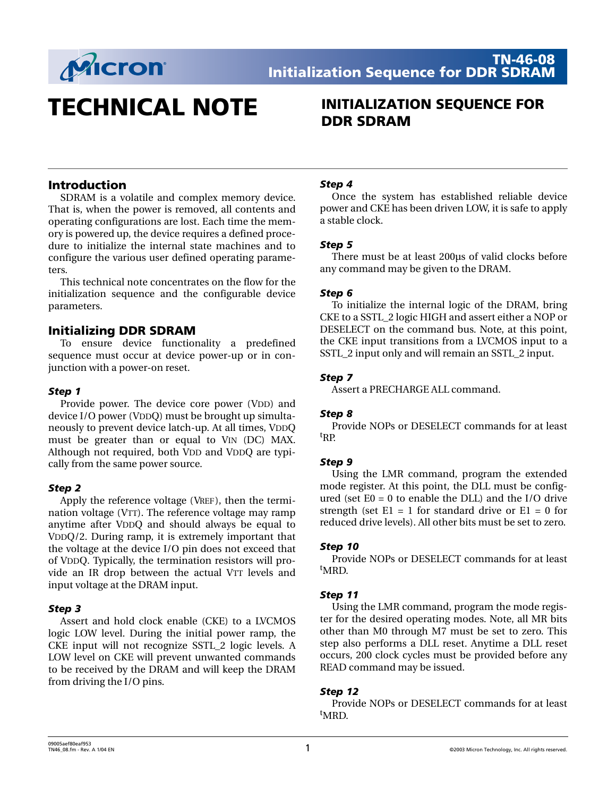

## **TECHNICAL NOTE INITIALIZATION SEQUENCE FOR**

# **DDR SDRAM**

#### **Introduction**

SDRAM is a volatile and complex memory device. That is, when the power is removed, all contents and operating configurations are lost. Each time the memory is powered up, the device requires a defined procedure to initialize the internal state machines and to configure the various user defined operating parameters.

This technical note concentrates on the flow for the initialization sequence and the configurable device parameters.

#### **Initializing DDR SDRAM**

To ensure device functionality a predefined sequence must occur at device power-up or in conjunction with a power-on reset.

#### *Step 1*

Provide power. The device core power (VDD) and device I/O power (VDDQ) must be brought up simultaneously to prevent device latch-up. At all times, VDDQ must be greater than or equal to VIN (DC) MAX. Although not required, both VDD and VDDQ are typically from the same power source.

#### *Step 2*

Apply the reference voltage (VREF), then the termination voltage (VTT). The reference voltage may ramp anytime after VDDQ and should always be equal to VDDQ/2. During ramp, it is extremely important that the voltage at the device I/O pin does not exceed that of VDDQ. Typically, the termination resistors will provide an IR drop between the actual VTT levels and input voltage at the DRAM input.

#### *Step 3*

Assert and hold clock enable (CKE) to a LVCMOS logic LOW level. During the initial power ramp, the CKE input will not recognize SSTL\_2 logic levels. A LOW level on CKE will prevent unwanted commands to be received by the DRAM and will keep the DRAM from driving the I/O pins.

#### *Step 4*

Once the system has established reliable device power and CKE has been driven LOW, it is safe to apply a stable clock.

#### *Step 5*

There must be at least 200µs of valid clocks before any command may be given to the DRAM.

#### *Step 6*

To initialize the internal logic of the DRAM, bring CKE to a SSTL\_2 logic HIGH and assert either a NOP or DESELECT on the command bus. Note, at this point, the CKE input transitions from a LVCMOS input to a SSTL\_2 input only and will remain an SSTL\_2 input.

#### *Step 7*

Assert a PRECHARGE ALL command.

#### *Step 8*

Provide NOPs or DESELECT commands for at least t RP.

#### *Step 9*

Using the LMR command, program the extended mode register. At this point, the DLL must be configured (set  $E0 = 0$  to enable the DLL) and the I/O drive strength (set  $E1 = 1$  for standard drive or  $E1 = 0$  for reduced drive levels). All other bits must be set to zero.

#### *Step 10*

Provide NOPs or DESELECT commands for at least t MRD.

#### <span id="page-0-0"></span>*Step 11*

Using the LMR command, program the mode register for the desired operating modes. Note, all MR bits other than M0 through M7 must be set to zero. This step also performs a DLL reset. Anytime a DLL reset occurs, 200 clock cycles must be provided before any READ command may be issued.

#### *Step 12*

Provide NOPs or DESELECT commands for at least t MRD.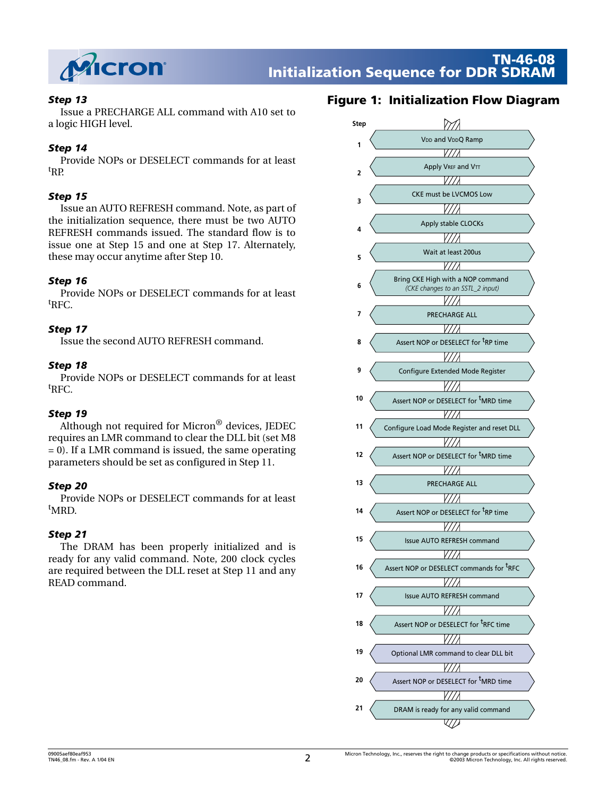

#### *Step 13*

Issue a PRECHARGE ALL command with A10 set to a logic HIGH level.

#### *Step 14*

Provide NOPs or DESELECT commands for at least t RP.

#### *Step 15*

Issue an AUTO REFRESH command. Note, as part of the initialization sequence, there must be two AUTO REFRESH commands issued. The standard flow is to issue one at Step 15 and one at Step 17. Alternately, these may occur anytime after Step 10.

#### *Step 16*

Provide NOPs or DESELECT commands for at least t RFC.

#### *Step 17*

Issue the second AUTO REFRESH command.

#### *Step 18*

Provide NOPs or DESELECT commands for at least t RFC.

#### *Step 19*

Although not required for Micron® devices, JEDEC requires an LMR command to clear the DLL bit (set M8  $= 0$ ). If a LMR command is issued, the same operating parameters should be set as configured in [Step 11.](#page-0-0)

#### *Step 20*

Provide NOPs or DESELECT commands for at least t MRD.

#### *Step 21*

The DRAM has been properly initialized and is ready for any valid command. Note, 200 clock cycles are required between the DLL reset at [Step 11](#page-0-0) and any READ command.

### **Figure 1: Initialization Flow Diagram**

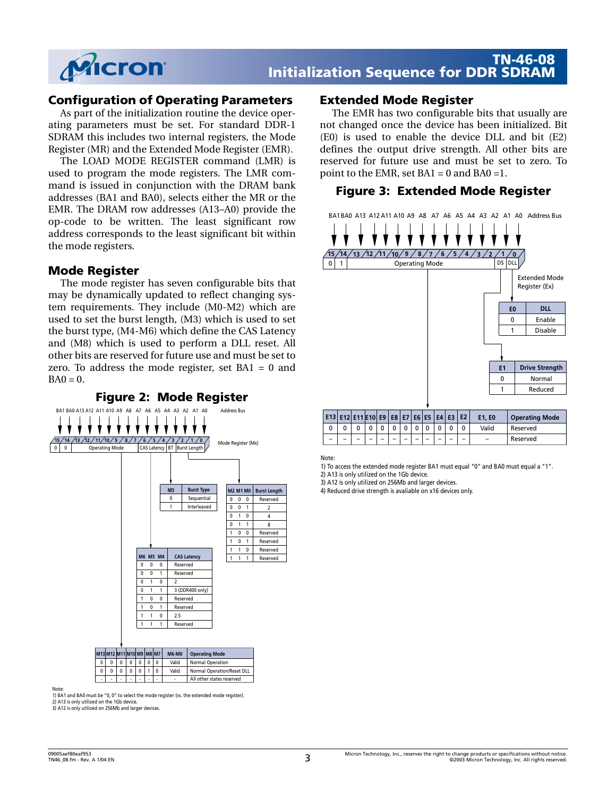

#### **TN-46-08 Initialization Sequence for DDR SDRAM**

#### **Configuration of Operating Parameters**

As part of the initialization routine the device operating parameters must be set. For standard DDR-1 SDRAM this includes two internal registers, the Mode Register (MR) and the Extended Mode Register (EMR).

The LOAD MODE REGISTER command (LMR) is used to program the mode registers. The LMR command is issued in conjunction with the DRAM bank addresses (BA1 and BA0), selects either the MR or the EMR. The DRAM row addresses (A13–A0) provide the op-code to be written. The least significant row address corresponds to the least significant bit within the mode registers.

#### **Mode Register**

The mode register has seven configurable bits that may be dynamically updated to reflect changing system requirements. They include (M0-M2) which are used to set the burst length, (M3) which is used to set the burst type, (M4-M6) which define the CAS Latency and (M8) which is used to perform a DLL reset. All other bits are reserved for future use and must be set to zero. To address the mode register, set BA1 = 0 and  $BA0 = 0.$ 



#### Note:

1) BA1 and BA0 must be "0, 0" to select the mode register (vs. the extended mode register). 2) A13 is only utilized on the 1Gb device.

3) A12 is only utilized on 256Mb and larger devices.

#### **Extended Mode Register**

The EMR has two configurable bits that usually are not changed once the device has been initialized. Bit (E0) is used to enable the device DLL and bit (E2) defines the output drive strength. All other bits are reserved for future use and must be set to zero. To point to the EMR, set  $BA1 = 0$  and  $BA0 = 1$ .

#### **Figure 3: Extended Mode Register**



Note:

1) To access the extended mode register BA1 must equal "0" and BA0 must equal a "1".

2) A13 is only utilized on the 1Gb device.

3) A12 is only utilized on 256Mb and larger devices.

4) Reduced drive strength is avaliable on x16 devices only.